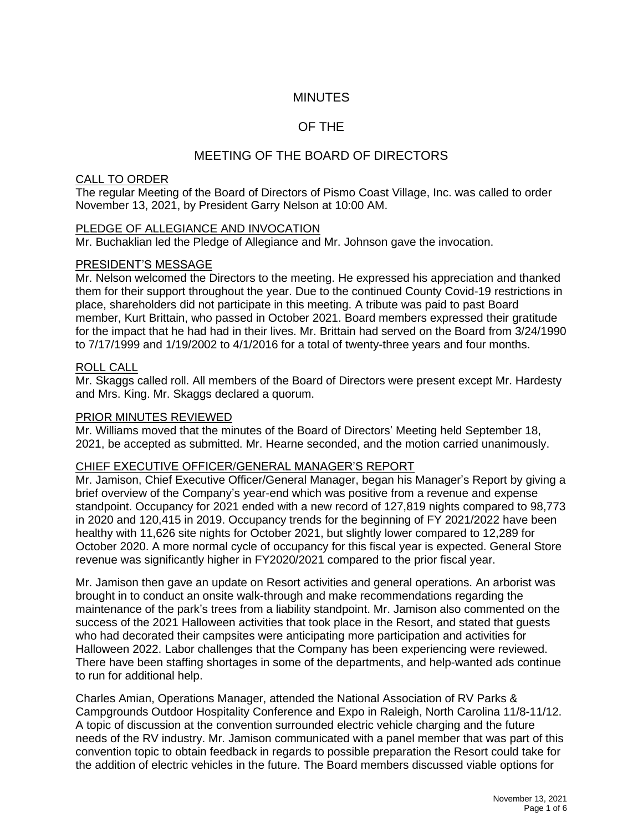# **MINUTES**

# OF THE

# MEETING OF THE BOARD OF DIRECTORS

### CALL TO ORDER

The regular Meeting of the Board of Directors of Pismo Coast Village, Inc. was called to order November 13, 2021, by President Garry Nelson at 10:00 AM.

### PLEDGE OF ALLEGIANCE AND INVOCATION

Mr. Buchaklian led the Pledge of Allegiance and Mr. Johnson gave the invocation.

### PRESIDENT'S MESSAGE

Mr. Nelson welcomed the Directors to the meeting. He expressed his appreciation and thanked them for their support throughout the year. Due to the continued County Covid-19 restrictions in place, shareholders did not participate in this meeting. A tribute was paid to past Board member, Kurt Brittain, who passed in October 2021. Board members expressed their gratitude for the impact that he had had in their lives. Mr. Brittain had served on the Board from 3/24/1990 to 7/17/1999 and 1/19/2002 to 4/1/2016 for a total of twenty-three years and four months.

### ROLL CALL

Mr. Skaggs called roll. All members of the Board of Directors were present except Mr. Hardesty and Mrs. King. Mr. Skaggs declared a quorum.

### PRIOR MINUTES REVIEWED

Mr. Williams moved that the minutes of the Board of Directors' Meeting held September 18, 2021, be accepted as submitted. Mr. Hearne seconded, and the motion carried unanimously.

#### CHIEF EXECUTIVE OFFICER/GENERAL MANAGER'S REPORT

Mr. Jamison, Chief Executive Officer/General Manager, began his Manager's Report by giving a brief overview of the Company's year-end which was positive from a revenue and expense standpoint. Occupancy for 2021 ended with a new record of 127,819 nights compared to 98,773 in 2020 and 120,415 in 2019. Occupancy trends for the beginning of FY 2021/2022 have been healthy with 11,626 site nights for October 2021, but slightly lower compared to 12,289 for October 2020. A more normal cycle of occupancy for this fiscal year is expected. General Store revenue was significantly higher in FY2020/2021 compared to the prior fiscal year.

Mr. Jamison then gave an update on Resort activities and general operations. An arborist was brought in to conduct an onsite walk-through and make recommendations regarding the maintenance of the park's trees from a liability standpoint. Mr. Jamison also commented on the success of the 2021 Halloween activities that took place in the Resort, and stated that guests who had decorated their campsites were anticipating more participation and activities for Halloween 2022. Labor challenges that the Company has been experiencing were reviewed. There have been staffing shortages in some of the departments, and help-wanted ads continue to run for additional help.

Charles Amian, Operations Manager, attended the National Association of RV Parks & Campgrounds Outdoor Hospitality Conference and Expo in Raleigh, North Carolina 11/8-11/12. A topic of discussion at the convention surrounded electric vehicle charging and the future needs of the RV industry. Mr. Jamison communicated with a panel member that was part of this convention topic to obtain feedback in regards to possible preparation the Resort could take for the addition of electric vehicles in the future. The Board members discussed viable options for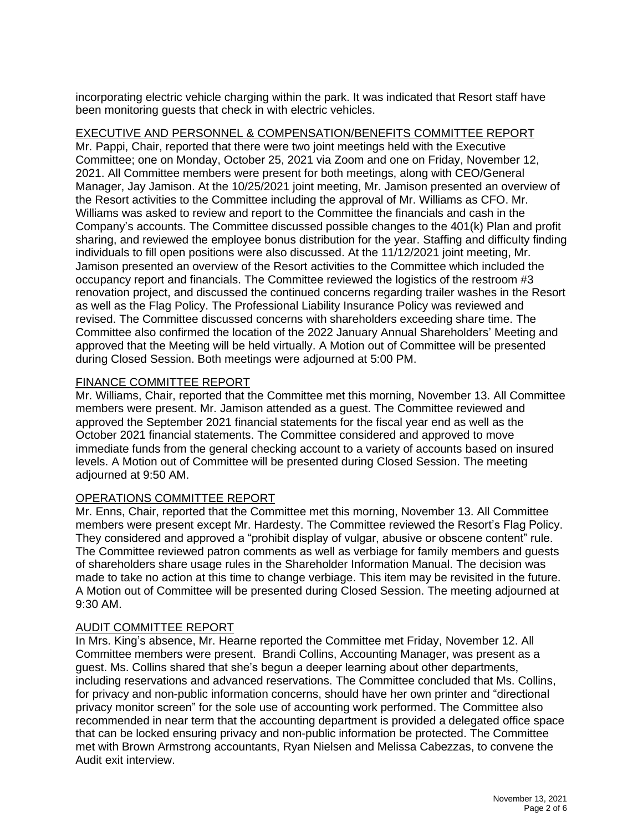incorporating electric vehicle charging within the park. It was indicated that Resort staff have been monitoring guests that check in with electric vehicles.

## EXECUTIVE AND PERSONNEL & COMPENSATION/BENEFITS COMMITTEE REPORT

Mr. Pappi, Chair, reported that there were two joint meetings held with the Executive Committee; one on Monday, October 25, 2021 via Zoom and one on Friday, November 12, 2021. All Committee members were present for both meetings, along with CEO/General Manager, Jay Jamison. At the 10/25/2021 joint meeting, Mr. Jamison presented an overview of the Resort activities to the Committee including the approval of Mr. Williams as CFO. Mr. Williams was asked to review and report to the Committee the financials and cash in the Company's accounts. The Committee discussed possible changes to the 401(k) Plan and profit sharing, and reviewed the employee bonus distribution for the year. Staffing and difficulty finding individuals to fill open positions were also discussed. At the 11/12/2021 joint meeting, Mr. Jamison presented an overview of the Resort activities to the Committee which included the occupancy report and financials. The Committee reviewed the logistics of the restroom #3 renovation project, and discussed the continued concerns regarding trailer washes in the Resort as well as the Flag Policy. The Professional Liability Insurance Policy was reviewed and revised. The Committee discussed concerns with shareholders exceeding share time. The Committee also confirmed the location of the 2022 January Annual Shareholders' Meeting and approved that the Meeting will be held virtually. A Motion out of Committee will be presented during Closed Session. Both meetings were adjourned at 5:00 PM.

## FINANCE COMMITTEE REPORT

Mr. Williams, Chair, reported that the Committee met this morning, November 13. All Committee members were present. Mr. Jamison attended as a guest. The Committee reviewed and approved the September 2021 financial statements for the fiscal year end as well as the October 2021 financial statements. The Committee considered and approved to move immediate funds from the general checking account to a variety of accounts based on insured levels. A Motion out of Committee will be presented during Closed Session. The meeting adjourned at 9:50 AM.

## OPERATIONS COMMITTEE REPORT

Mr. Enns, Chair, reported that the Committee met this morning, November 13. All Committee members were present except Mr. Hardesty. The Committee reviewed the Resort's Flag Policy. They considered and approved a "prohibit display of vulgar, abusive or obscene content" rule. The Committee reviewed patron comments as well as verbiage for family members and guests of shareholders share usage rules in the Shareholder Information Manual. The decision was made to take no action at this time to change verbiage. This item may be revisited in the future. A Motion out of Committee will be presented during Closed Session. The meeting adjourned at 9:30 AM.

## AUDIT COMMITTEE REPORT

In Mrs. King's absence, Mr. Hearne reported the Committee met Friday, November 12. All Committee members were present. Brandi Collins, Accounting Manager, was present as a guest. Ms. Collins shared that she's begun a deeper learning about other departments, including reservations and advanced reservations. The Committee concluded that Ms. Collins, for privacy and non-public information concerns, should have her own printer and "directional privacy monitor screen" for the sole use of accounting work performed. The Committee also recommended in near term that the accounting department is provided a delegated office space that can be locked ensuring privacy and non-public information be protected. The Committee met with Brown Armstrong accountants, Ryan Nielsen and Melissa Cabezzas, to convene the Audit exit interview.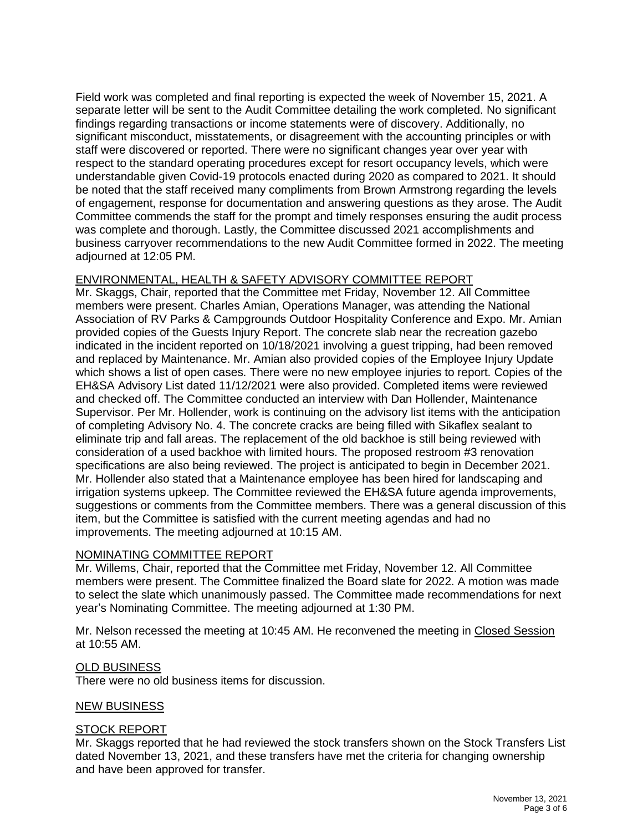Field work was completed and final reporting is expected the week of November 15, 2021. A separate letter will be sent to the Audit Committee detailing the work completed. No significant findings regarding transactions or income statements were of discovery. Additionally, no significant misconduct, misstatements, or disagreement with the accounting principles or with staff were discovered or reported. There were no significant changes year over year with respect to the standard operating procedures except for resort occupancy levels, which were understandable given Covid-19 protocols enacted during 2020 as compared to 2021. It should be noted that the staff received many compliments from Brown Armstrong regarding the levels of engagement, response for documentation and answering questions as they arose. The Audit Committee commends the staff for the prompt and timely responses ensuring the audit process was complete and thorough. Lastly, the Committee discussed 2021 accomplishments and business carryover recommendations to the new Audit Committee formed in 2022. The meeting adjourned at 12:05 PM.

## ENVIRONMENTAL, HEALTH & SAFETY ADVISORY COMMITTEE REPORT

Mr. Skaggs, Chair, reported that the Committee met Friday, November 12. All Committee members were present. Charles Amian, Operations Manager, was attending the National Association of RV Parks & Campgrounds Outdoor Hospitality Conference and Expo. Mr. Amian provided copies of the Guests Injury Report. The concrete slab near the recreation gazebo indicated in the incident reported on 10/18/2021 involving a guest tripping, had been removed and replaced by Maintenance. Mr. Amian also provided copies of the Employee Injury Update which shows a list of open cases. There were no new employee injuries to report. Copies of the EH&SA Advisory List dated 11/12/2021 were also provided. Completed items were reviewed and checked off. The Committee conducted an interview with Dan Hollender, Maintenance Supervisor. Per Mr. Hollender, work is continuing on the advisory list items with the anticipation of completing Advisory No. 4. The concrete cracks are being filled with Sikaflex sealant to eliminate trip and fall areas. The replacement of the old backhoe is still being reviewed with consideration of a used backhoe with limited hours. The proposed restroom #3 renovation specifications are also being reviewed. The project is anticipated to begin in December 2021. Mr. Hollender also stated that a Maintenance employee has been hired for landscaping and irrigation systems upkeep. The Committee reviewed the EH&SA future agenda improvements, suggestions or comments from the Committee members. There was a general discussion of this item, but the Committee is satisfied with the current meeting agendas and had no improvements. The meeting adjourned at 10:15 AM.

## NOMINATING COMMITTEE REPORT

Mr. Willems, Chair, reported that the Committee met Friday, November 12. All Committee members were present. The Committee finalized the Board slate for 2022. A motion was made to select the slate which unanimously passed. The Committee made recommendations for next year's Nominating Committee. The meeting adjourned at 1:30 PM.

Mr. Nelson recessed the meeting at 10:45 AM. He reconvened the meeting in Closed Session at 10:55 AM.

#### OLD BUSINESS

There were no old business items for discussion.

#### NEW BUSINESS

#### STOCK REPORT

Mr. Skaggs reported that he had reviewed the stock transfers shown on the Stock Transfers List dated November 13, 2021, and these transfers have met the criteria for changing ownership and have been approved for transfer.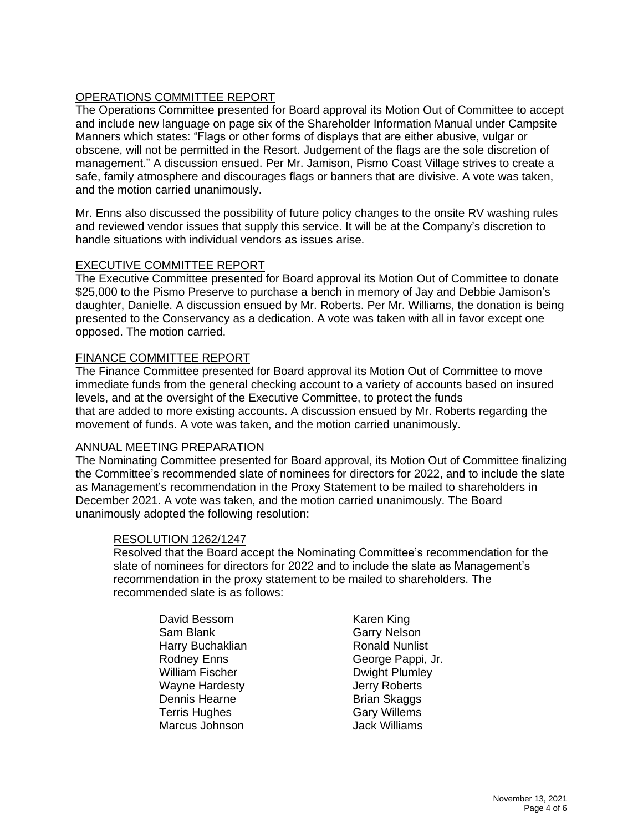## OPERATIONS COMMITTEE REPORT

The Operations Committee presented for Board approval its Motion Out of Committee to accept and include new language on page six of the Shareholder Information Manual under Campsite Manners which states: "Flags or other forms of displays that are either abusive, vulgar or obscene, will not be permitted in the Resort. Judgement of the flags are the sole discretion of management." A discussion ensued. Per Mr. Jamison, Pismo Coast Village strives to create a safe, family atmosphere and discourages flags or banners that are divisive. A vote was taken, and the motion carried unanimously.

Mr. Enns also discussed the possibility of future policy changes to the onsite RV washing rules and reviewed vendor issues that supply this service. It will be at the Company's discretion to handle situations with individual vendors as issues arise.

### EXECUTIVE COMMITTEE REPORT

The Executive Committee presented for Board approval its Motion Out of Committee to donate \$25,000 to the Pismo Preserve to purchase a bench in memory of Jay and Debbie Jamison's daughter, Danielle. A discussion ensued by Mr. Roberts. Per Mr. Williams, the donation is being presented to the Conservancy as a dedication. A vote was taken with all in favor except one opposed. The motion carried.

### FINANCE COMMITTEE REPORT

The Finance Committee presented for Board approval its Motion Out of Committee to move immediate funds from the general checking account to a variety of accounts based on insured levels, and at the oversight of the Executive Committee, to protect the funds that are added to more existing accounts. A discussion ensued by Mr. Roberts regarding the movement of funds. A vote was taken, and the motion carried unanimously.

#### ANNUAL MEETING PREPARATION

The Nominating Committee presented for Board approval, its Motion Out of Committee finalizing the Committee's recommended slate of nominees for directors for 2022, and to include the slate as Management's recommendation in the Proxy Statement to be mailed to shareholders in December 2021. A vote was taken, and the motion carried unanimously. The Board unanimously adopted the following resolution:

#### RESOLUTION 1262/1247

Resolved that the Board accept the Nominating Committee's recommendation for the slate of nominees for directors for 2022 and to include the slate as Management's recommendation in the proxy statement to be mailed to shareholders. The recommended slate is as follows:

David Bessom Karen King Sam Blank Garry Nelson Harry Buchaklian Ronald Nunlist William Fischer **Dwight Plumley** Wayne Hardesty **Jerry Roberts** Dennis Hearne **Brian Skaggs**<br>Terris Hughes **Brian Skaggs**<br>Gary Willems Terris Hughes Gary Willems<br>Marcus Johnson Gary Williams Marcus Johnson

Rodney Enns George Pappi, Jr.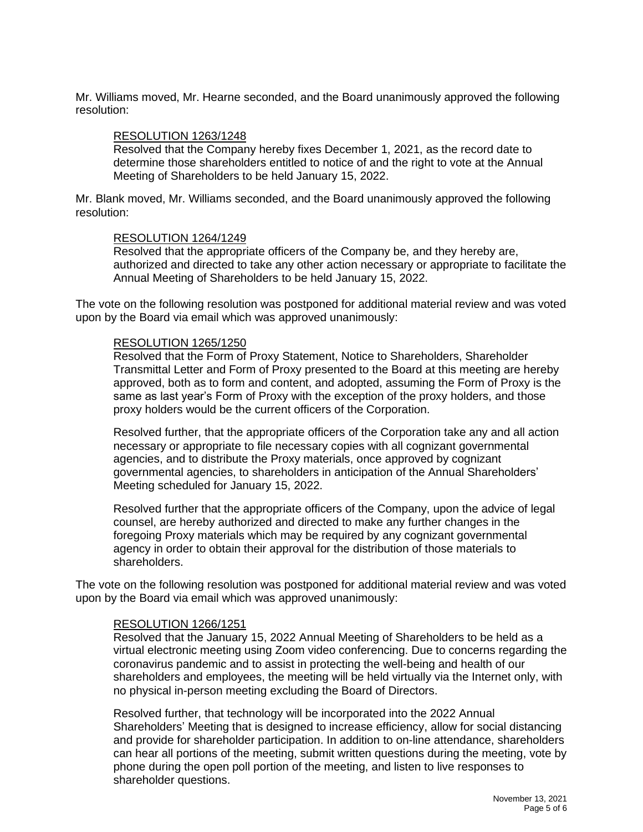Mr. Williams moved, Mr. Hearne seconded, and the Board unanimously approved the following resolution:

#### RESOLUTION 1263/1248

Resolved that the Company hereby fixes December 1, 2021, as the record date to determine those shareholders entitled to notice of and the right to vote at the Annual Meeting of Shareholders to be held January 15, 2022.

Mr. Blank moved, Mr. Williams seconded, and the Board unanimously approved the following resolution:

#### RESOLUTION 1264/1249

Resolved that the appropriate officers of the Company be, and they hereby are, authorized and directed to take any other action necessary or appropriate to facilitate the Annual Meeting of Shareholders to be held January 15, 2022.

The vote on the following resolution was postponed for additional material review and was voted upon by the Board via email which was approved unanimously:

#### RESOLUTION 1265/1250

Resolved that the Form of Proxy Statement, Notice to Shareholders, Shareholder Transmittal Letter and Form of Proxy presented to the Board at this meeting are hereby approved, both as to form and content, and adopted, assuming the Form of Proxy is the same as last year's Form of Proxy with the exception of the proxy holders, and those proxy holders would be the current officers of the Corporation.

Resolved further, that the appropriate officers of the Corporation take any and all action necessary or appropriate to file necessary copies with all cognizant governmental agencies, and to distribute the Proxy materials, once approved by cognizant governmental agencies, to shareholders in anticipation of the Annual Shareholders' Meeting scheduled for January 15, 2022.

Resolved further that the appropriate officers of the Company, upon the advice of legal counsel, are hereby authorized and directed to make any further changes in the foregoing Proxy materials which may be required by any cognizant governmental agency in order to obtain their approval for the distribution of those materials to shareholders.

The vote on the following resolution was postponed for additional material review and was voted upon by the Board via email which was approved unanimously:

#### RESOLUTION 1266/1251

Resolved that the January 15, 2022 Annual Meeting of Shareholders to be held as a virtual electronic meeting using Zoom video conferencing. Due to concerns regarding the coronavirus pandemic and to assist in protecting the well-being and health of our shareholders and employees, the meeting will be held virtually via the Internet only, with no physical in-person meeting excluding the Board of Directors.

Resolved further, that technology will be incorporated into the 2022 Annual Shareholders' Meeting that is designed to increase efficiency, allow for social distancing and provide for shareholder participation. In addition to on-line attendance, shareholders can hear all portions of the meeting, submit written questions during the meeting, vote by phone during the open poll portion of the meeting, and listen to live responses to shareholder questions.